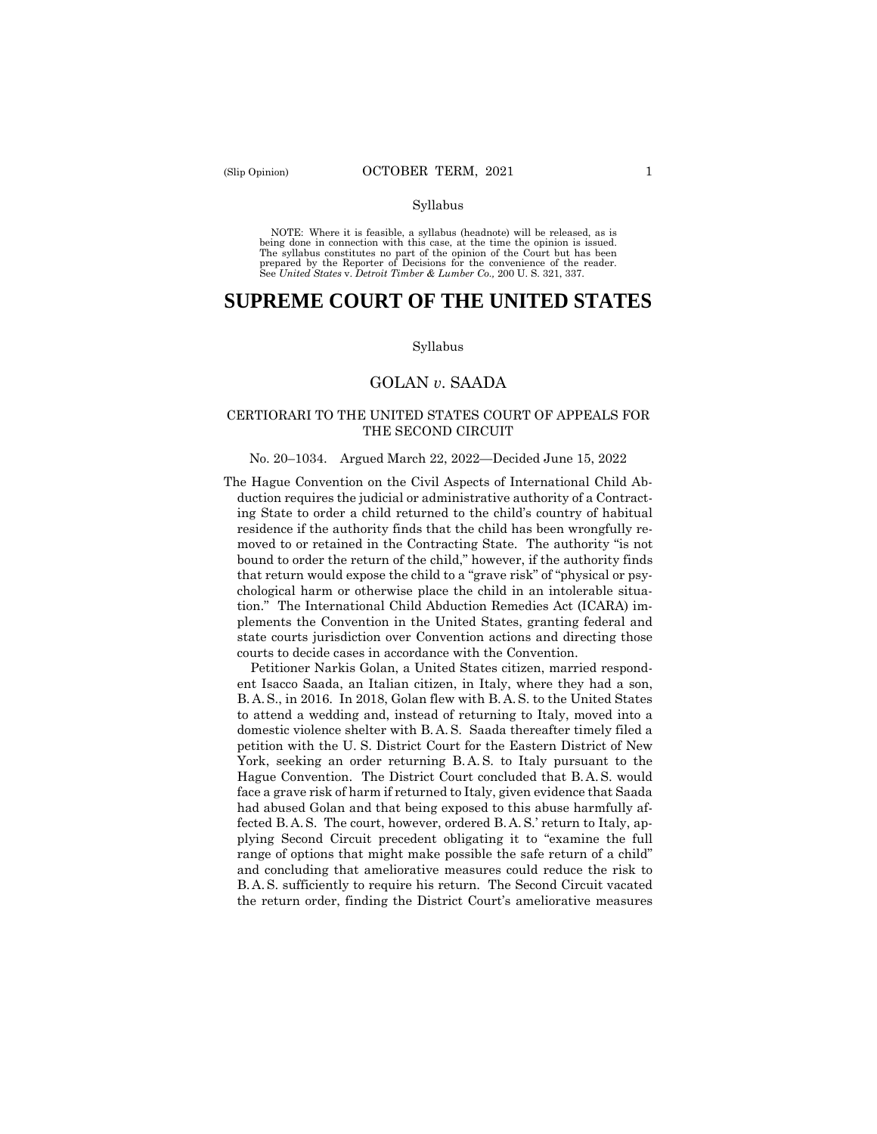#### Syllabus

 NOTE: Where it is feasible, a syllabus (headnote) will be released, as is being done in connection with this case, at the time the opinion is issued. The syllabus constitutes no part of the opinion of the Court but has been<br>prepared by the Reporter of Decisions for the convenience of the reader.<br>See United States v. Detroit Timber & Lumber Co., 200 U.S. 321, 337.

## **SUPREME COURT OF THE UNITED STATES**

#### Syllabus

## GOLAN *v*. SAADA

#### CERTIORARI TO THE UNITED STATES COURT OF APPEALS FOR THE SECOND CIRCUIT

#### No. 20–1034. Argued March 22, 2022—Decided June 15, 2022

The Hague Convention on the Civil Aspects of International Child Abduction requires the judicial or administrative authority of a Contracting State to order a child returned to the child's country of habitual residence if the authority finds that the child has been wrongfully removed to or retained in the Contracting State. The authority "is not bound to order the return of the child," however, if the authority finds that return would expose the child to a "grave risk" of "physical or psychological harm or otherwise place the child in an intolerable situation." The International Child Abduction Remedies Act (ICARA) implements the Convention in the United States, granting federal and state courts jurisdiction over Convention actions and directing those courts to decide cases in accordance with the Convention.

 B. A. S., in 2016. In 2018, Golan flew with B. A. S. to the United States domestic violence shelter with B. A. S. Saada thereafter timely filed a York, seeking an order returning B. A. S. to Italy pursuant to the Hague Convention. The District Court concluded that B. A. S. would fected B. A. S. The court, however, ordered B. A. S.' return to Italy, ap- B. A. S. sufficiently to require his return. The Second Circuit vacated Petitioner Narkis Golan, a United States citizen, married respondent Isacco Saada, an Italian citizen, in Italy, where they had a son, to attend a wedding and, instead of returning to Italy, moved into a petition with the U. S. District Court for the Eastern District of New face a grave risk of harm if returned to Italy, given evidence that Saada had abused Golan and that being exposed to this abuse harmfully afplying Second Circuit precedent obligating it to "examine the full range of options that might make possible the safe return of a child" and concluding that ameliorative measures could reduce the risk to the return order, finding the District Court's ameliorative measures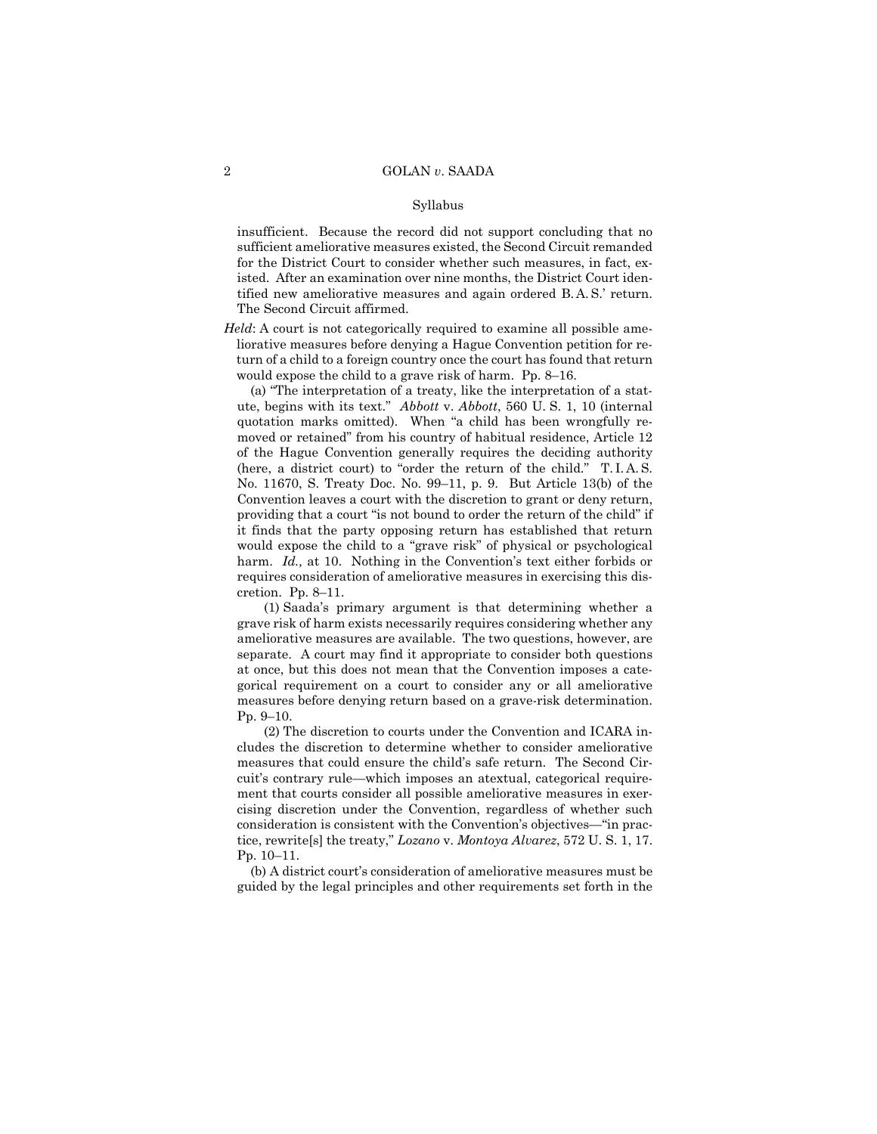#### Syllabus

 insufficient. Because the record did not support concluding that no tified new ameliorative measures and again ordered B. A. S.' return. sufficient ameliorative measures existed, the Second Circuit remanded for the District Court to consider whether such measures, in fact, existed. After an examination over nine months, the District Court iden-The Second Circuit affirmed.

 *Held*: A court is not categorically required to examine all possible ameliorative measures before denying a Hague Convention petition for return of a child to a foreign country once the court has found that return would expose the child to a grave risk of harm. Pp. 8–16.

 (here, a district court) to "order the return of the child." T. I. A. S. (a) "The interpretation of a treaty, like the interpretation of a statute, begins with its text." *Abbott* v. *Abbott*, 560 U. S. 1, 10 (internal quotation marks omitted). When "a child has been wrongfully removed or retained" from his country of habitual residence, Article 12 of the Hague Convention generally requires the deciding authority No. 11670, S. Treaty Doc. No. 99–11, p. 9. But Article 13(b) of the Convention leaves a court with the discretion to grant or deny return, providing that a court "is not bound to order the return of the child" if it finds that the party opposing return has established that return would expose the child to a "grave risk" of physical or psychological harm. *Id.*, at 10. Nothing in the Convention's text either forbids or requires consideration of ameliorative measures in exercising this discretion. Pp. 8–11.

(1) Saada's primary argument is that determining whether a grave risk of harm exists necessarily requires considering whether any ameliorative measures are available. The two questions, however, are separate. A court may find it appropriate to consider both questions at once, but this does not mean that the Convention imposes a categorical requirement on a court to consider any or all ameliorative measures before denying return based on a grave-risk determination. Pp. 9–10.

(2) The discretion to courts under the Convention and ICARA includes the discretion to determine whether to consider ameliorative measures that could ensure the child's safe return. The Second Circuit's contrary rule—which imposes an atextual, categorical requirement that courts consider all possible ameliorative measures in exercising discretion under the Convention, regardless of whether such consideration is consistent with the Convention's objectives—"in practice, rewrite[s] the treaty," *Lozano* v. *Montoya Alvarez*, 572 U. S. 1, 17. Pp. 10–11.

(b) A district court's consideration of ameliorative measures must be guided by the legal principles and other requirements set forth in the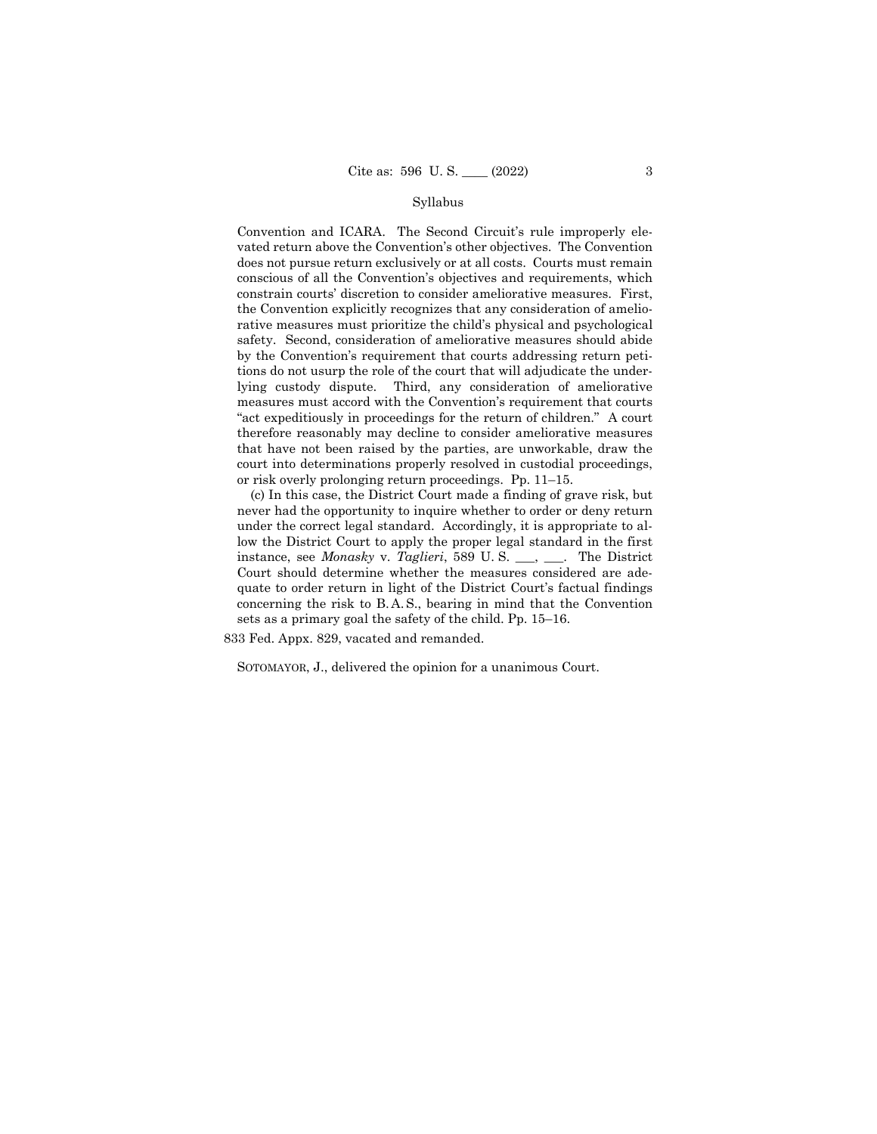#### Syllabus

Convention and ICARA. The Second Circuit's rule improperly elevated return above the Convention's other objectives. The Convention does not pursue return exclusively or at all costs. Courts must remain conscious of all the Convention's objectives and requirements, which constrain courts' discretion to consider ameliorative measures. First, the Convention explicitly recognizes that any consideration of ameliorative measures must prioritize the child's physical and psychological safety. Second, consideration of ameliorative measures should abide by the Convention's requirement that courts addressing return petitions do not usurp the role of the court that will adjudicate the underlying custody dispute. Third, any consideration of ameliorative measures must accord with the Convention's requirement that courts "act expeditiously in proceedings for the return of children." A court therefore reasonably may decline to consider ameliorative measures that have not been raised by the parties, are unworkable, draw the court into determinations properly resolved in custodial proceedings, or risk overly prolonging return proceedings. Pp. 11–15.

 concerning the risk to B. A. S., bearing in mind that the Convention (c) In this case, the District Court made a finding of grave risk, but never had the opportunity to inquire whether to order or deny return under the correct legal standard. Accordingly, it is appropriate to allow the District Court to apply the proper legal standard in the first instance, see *Monasky* v. *Taglieri*, 589 U. S. \_\_\_, \_\_\_. The District Court should determine whether the measures considered are adequate to order return in light of the District Court's factual findings sets as a primary goal the safety of the child. Pp. 15–16.

833 Fed. Appx. 829, vacated and remanded.

SOTOMAYOR, J., delivered the opinion for a unanimous Court.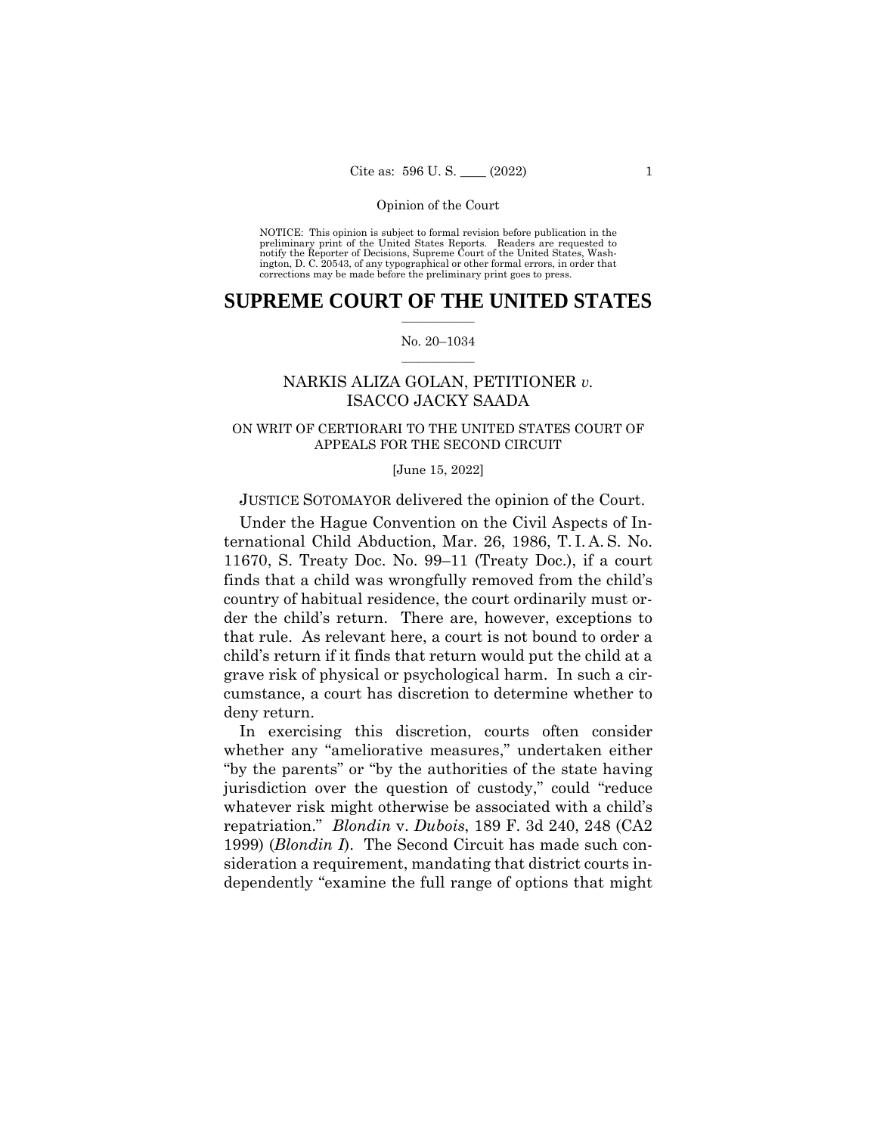NOTICE: This opinion is subject to formal revision before publication in the preliminary print of the United States Reports. Readers are requested to notify the Reporter of Decisions, Supreme Court of the United States, Wash-ington, D. C. 20543, of any typographical or other formal errors, in order that corrections may be made before the preliminary print goes to press.

## $\frac{1}{2}$  ,  $\frac{1}{2}$  ,  $\frac{1}{2}$  ,  $\frac{1}{2}$  ,  $\frac{1}{2}$  ,  $\frac{1}{2}$  ,  $\frac{1}{2}$ **SUPREME COURT OF THE UNITED STATES**

#### $\frac{1}{2}$  ,  $\frac{1}{2}$  ,  $\frac{1}{2}$  ,  $\frac{1}{2}$  ,  $\frac{1}{2}$  ,  $\frac{1}{2}$ No. 20–1034

## NARKIS ALIZA GOLAN, PETITIONER *v.*  ISACCO JACKY SAADA

## ON WRIT OF CERTIORARI TO THE UNITED STATES COURT OF APPEALS FOR THE SECOND CIRCUIT

#### [June 15, 2022]

## JUSTICE SOTOMAYOR delivered the opinion of the Court.

 ternational Child Abduction, Mar. 26, 1986, T. I. A. S. No. Under the Hague Convention on the Civil Aspects of In-11670, S. Treaty Doc. No. 99–11 (Treaty Doc.), if a court finds that a child was wrongfully removed from the child's country of habitual residence, the court ordinarily must order the child's return. There are, however, exceptions to that rule. As relevant here, a court is not bound to order a child's return if it finds that return would put the child at a grave risk of physical or psychological harm. In such a circumstance, a court has discretion to determine whether to deny return.

In exercising this discretion, courts often consider whether any "ameliorative measures," undertaken either "by the parents" or "by the authorities of the state having jurisdiction over the question of custody," could "reduce whatever risk might otherwise be associated with a child's repatriation." *Blondin* v. *Dubois*, 189 F. 3d 240, 248 (CA2 1999) (*Blondin I*). The Second Circuit has made such consideration a requirement, mandating that district courts independently "examine the full range of options that might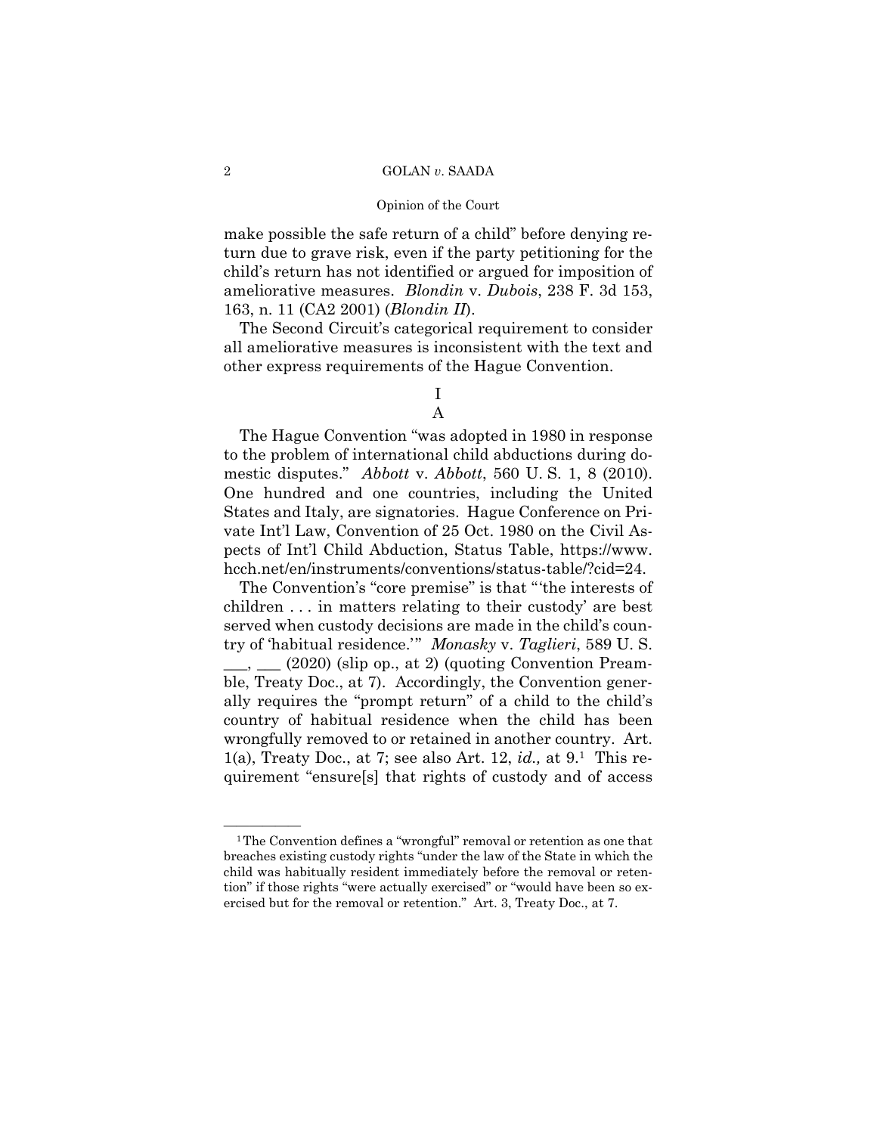#### Opinion of the Court

 ameliorative measures. *Blondin* v. *Dubois*, 238 F. 3d 153, make possible the safe return of a child" before denying return due to grave risk, even if the party petitioning for the child's return has not identified or argued for imposition of 163, n. 11 (CA2 2001) (*Blondin II*).

The Second Circuit's categorical requirement to consider all ameliorative measures is inconsistent with the text and other express requirements of the Hague Convention.

## I A

The Hague Convention "was adopted in 1980 in response to the problem of international child abductions during domestic disputes." *Abbott* v. *Abbott*, 560 U. S. 1, 8 (2010). One hundred and one countries, including the United States and Italy, are signatories. Hague Conference on Private Int'l Law, Convention of 25 Oct. 1980 on the Civil Aspects of Int'l Child Abduction, Status Table, https://www. hcch.net/en/instruments/conventions/status-table/?cid=24.

The Convention's "core premise" is that "'the interests of children . . . in matters relating to their custody' are best served when custody decisions are made in the child's country of 'habitual residence.'" *Monasky* v. *Taglieri*, 589 U. S.  $(2020)$  (slip op., at 2) (quoting Convention Preamble, Treaty Doc., at 7). Accordingly, the Convention generally requires the "prompt return" of a child to the child's country of habitual residence when the child has been wrongfully removed to or retained in another country. Art. 1(a), Treaty Doc., at 7; see also Art. 12, *id.,* at 9.1 This requirement "ensure[s] that rights of custody and of access

 ${}^{1}$ The Convention defines a "wrongful" removal or retention as one that breaches existing custody rights "under the law of the State in which the child was habitually resident immediately before the removal or retention" if those rights "were actually exercised" or "would have been so exercised but for the removal or retention." Art. 3, Treaty Doc., at 7.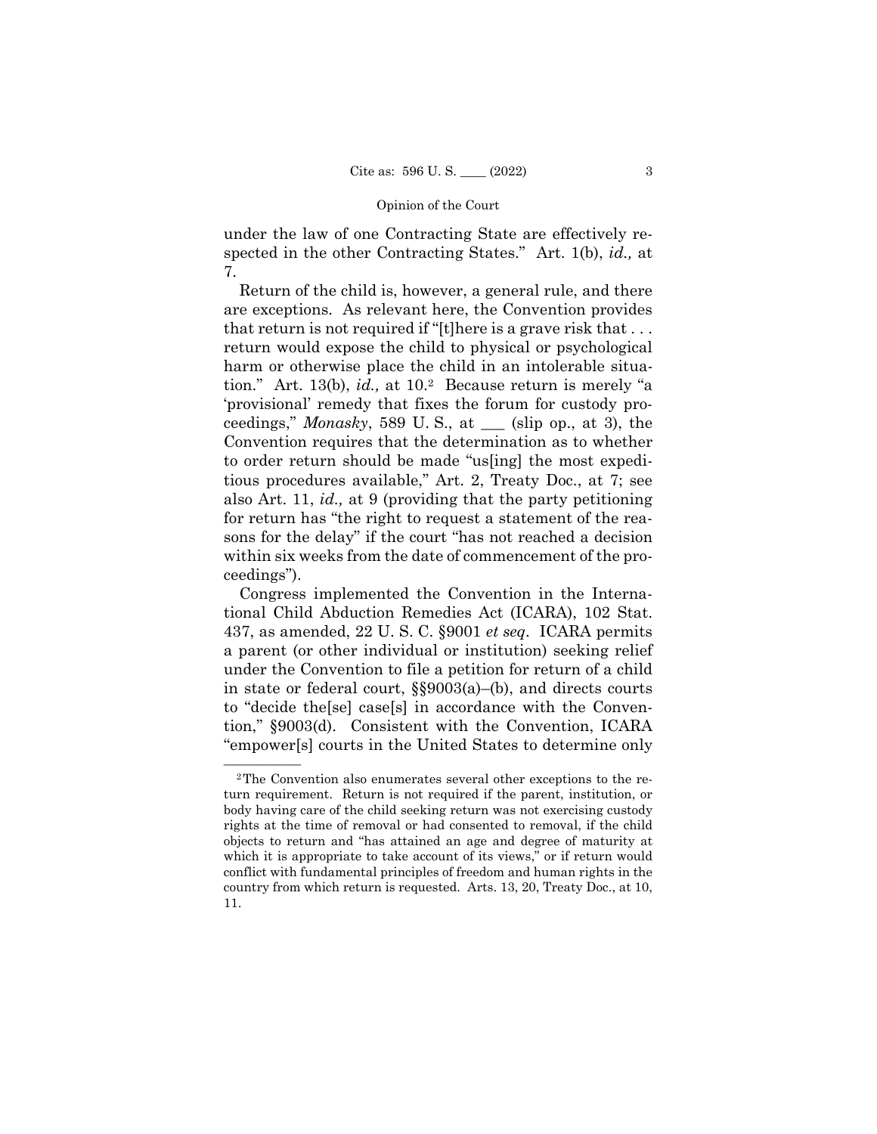under the law of one Contracting State are effectively respected in the other Contracting States." Art. 1(b), *id.,* at 7.

Return of the child is, however, a general rule, and there are exceptions. As relevant here, the Convention provides that return is not required if "[t]here is a grave risk that . . . return would expose the child to physical or psychological harm or otherwise place the child in an intolerable situation." Art. 13(b), *id.,* at 10.2 Because return is merely "a 'provisional' remedy that fixes the forum for custody proceedings," *Monasky*, 589 U. S., at \_\_\_ (slip op., at 3), the Convention requires that the determination as to whether to order return should be made "us[ing] the most expeditious procedures available," Art. 2, Treaty Doc., at 7; see also Art. 11, *id.,* at 9 (providing that the party petitioning for return has "the right to request a statement of the reasons for the delay" if the court "has not reached a decision within six weeks from the date of commencement of the proceedings").

Congress implemented the Convention in the International Child Abduction Remedies Act (ICARA), 102 Stat. 437, as amended, 22 U. S. C. §9001 *et seq*. ICARA permits a parent (or other individual or institution) seeking relief under the Convention to file a petition for return of a child in state or federal court, §§9003(a)–(b), and directs courts to "decide the[se] case[s] in accordance with the Convention," §9003(d). Consistent with the Convention, ICARA "empower[s] courts in the United States to determine only

<sup>&</sup>lt;sup>2</sup>The Convention also enumerates several other exceptions to the return requirement. Return is not required if the parent, institution, or body having care of the child seeking return was not exercising custody rights at the time of removal or had consented to removal, if the child objects to return and "has attained an age and degree of maturity at which it is appropriate to take account of its views," or if return would conflict with fundamental principles of freedom and human rights in the country from which return is requested. Arts. 13, 20, Treaty Doc., at 10, 11.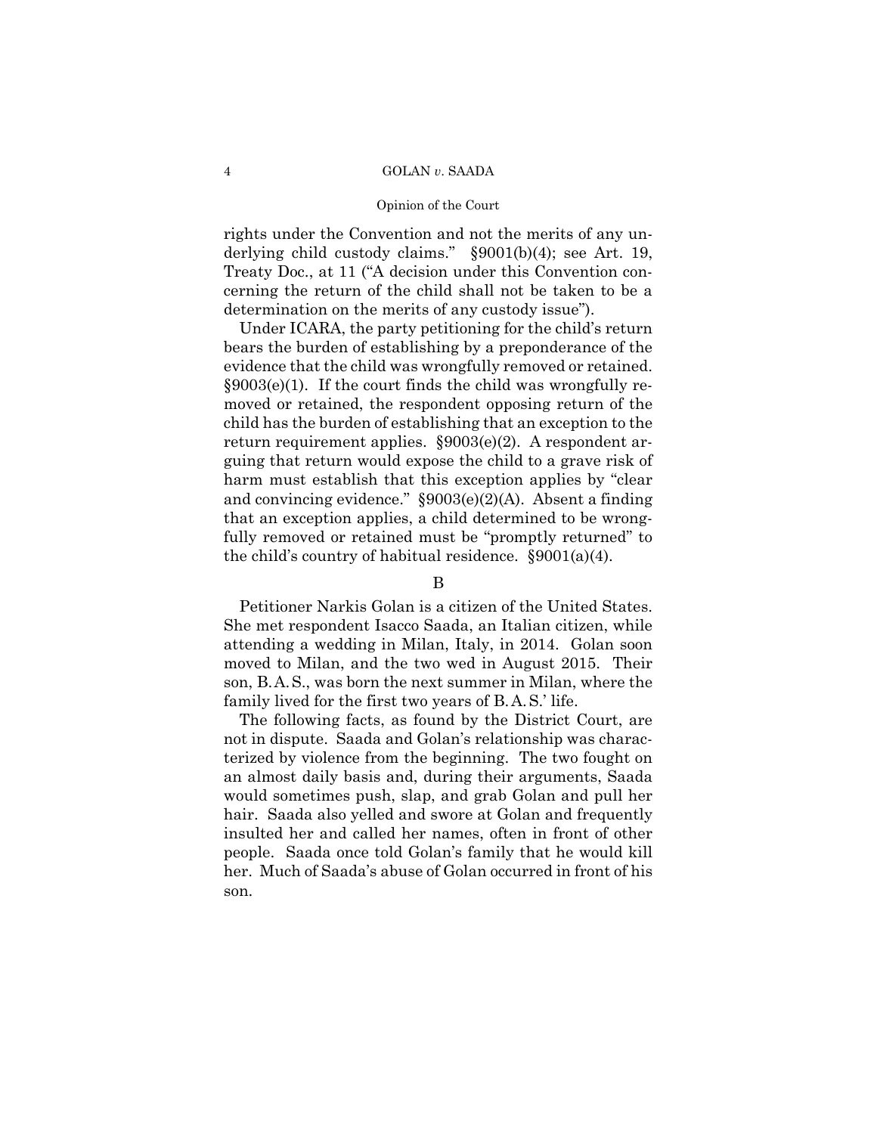#### Opinion of the Court

rights under the Convention and not the merits of any underlying child custody claims." §9001(b)(4); see Art. 19, Treaty Doc., at 11 ("A decision under this Convention concerning the return of the child shall not be taken to be a determination on the merits of any custody issue").

 evidence that the child was wrongfully removed or retained. Under ICARA, the party petitioning for the child's return bears the burden of establishing by a preponderance of the §9003(e)(1). If the court finds the child was wrongfully removed or retained, the respondent opposing return of the child has the burden of establishing that an exception to the return requirement applies. §9003(e)(2). A respondent arguing that return would expose the child to a grave risk of harm must establish that this exception applies by "clear and convincing evidence." §9003(e)(2)(A). Absent a finding that an exception applies, a child determined to be wrongfully removed or retained must be "promptly returned" to the child's country of habitual residence. §9001(a)(4).

## B

 son, B.A.S., was born the next summer in Milan, where the family lived for the first two years of B.A.S.' life. Petitioner Narkis Golan is a citizen of the United States. She met respondent Isacco Saada, an Italian citizen, while attending a wedding in Milan, Italy, in 2014. Golan soon moved to Milan, and the two wed in August 2015. Their

The following facts, as found by the District Court, are not in dispute. Saada and Golan's relationship was characterized by violence from the beginning. The two fought on an almost daily basis and, during their arguments, Saada would sometimes push, slap, and grab Golan and pull her hair. Saada also yelled and swore at Golan and frequently insulted her and called her names, often in front of other people. Saada once told Golan's family that he would kill her. Much of Saada's abuse of Golan occurred in front of his son.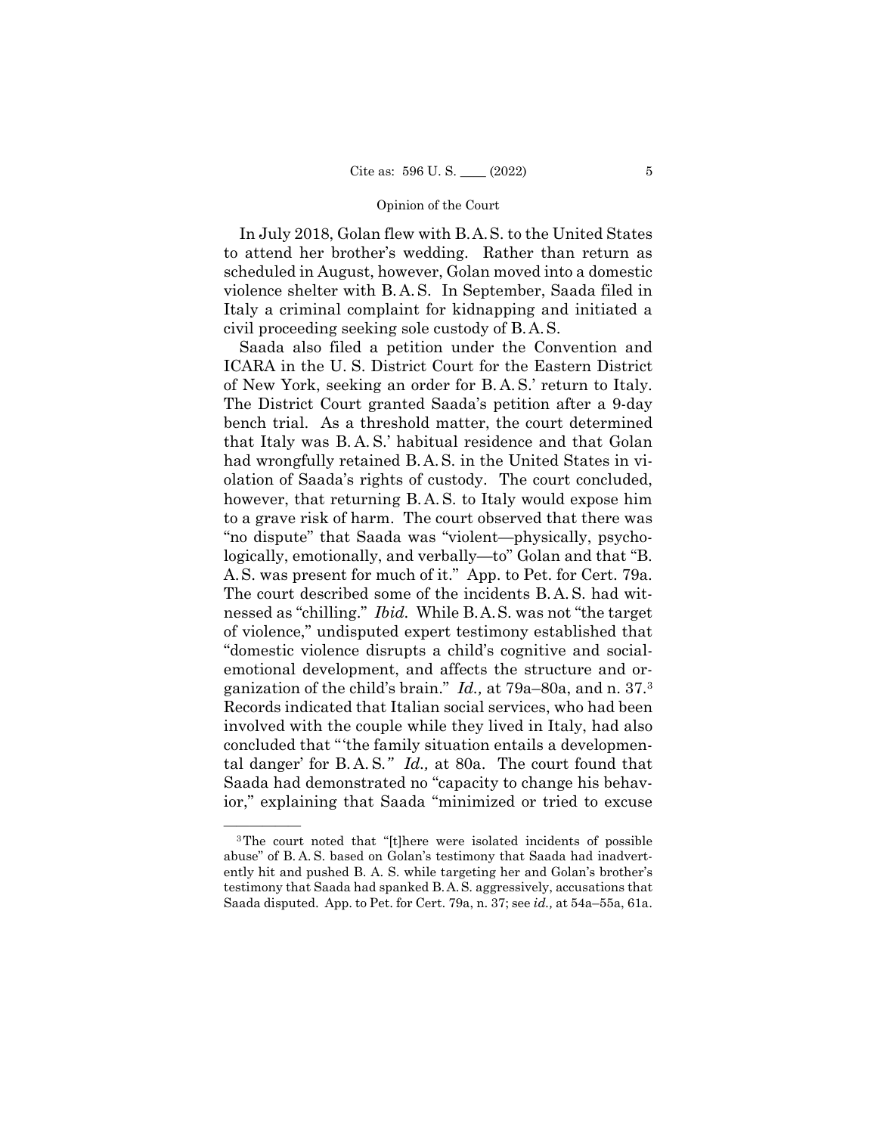In July 2018, Golan flew with B.A.S. to the United States violence shelter with B. A. S. In September, Saada filed in civil proceeding seeking sole custody of B.A.S. to attend her brother's wedding. Rather than return as scheduled in August, however, Golan moved into a domestic Italy a criminal complaint for kidnapping and initiated a

 of New York, seeking an order for B. A. S.' return to Italy. that Italy was B. A. S.' habitual residence and that Golan had wrongfully retained B. A. S. in the United States in vi- however, that returning B. A. S. to Italy would expose him The court described some of the incidents B. A. S. had wit- nessed as "chilling." *Ibid.* While B.A.S. was not "the target ganization of the child's brain." *Id.,* at 79a–80a, and n. 37.3 tal danger' for B. A. S*." Id.,* at 80a. The court found that Saada also filed a petition under the Convention and ICARA in the U. S. District Court for the Eastern District The District Court granted Saada's petition after a 9-day bench trial. As a threshold matter, the court determined olation of Saada's rights of custody. The court concluded, to a grave risk of harm. The court observed that there was "no dispute" that Saada was "violent—physically, psychologically, emotionally, and verbally—to" Golan and that "B. A.S. was present for much of it." App. to Pet. for Cert. 79a. of violence," undisputed expert testimony established that "domestic violence disrupts a child's cognitive and socialemotional development, and affects the structure and or-Records indicated that Italian social services, who had been involved with the couple while they lived in Italy, had also concluded that "'the family situation entails a developmen-Saada had demonstrated no "capacity to change his behavior," explaining that Saada "minimized or tried to excuse

 abuse" of B. A. S. based on Golan's testimony that Saada had inadvert- testimony that Saada had spanked B.A.S. aggressively, accusations that <sup>3</sup>The court noted that "[t]here were isolated incidents of possible ently hit and pushed B. A. S. while targeting her and Golan's brother's Saada disputed. App. to Pet. for Cert. 79a, n. 37; see *id.,* at 54a–55a, 61a.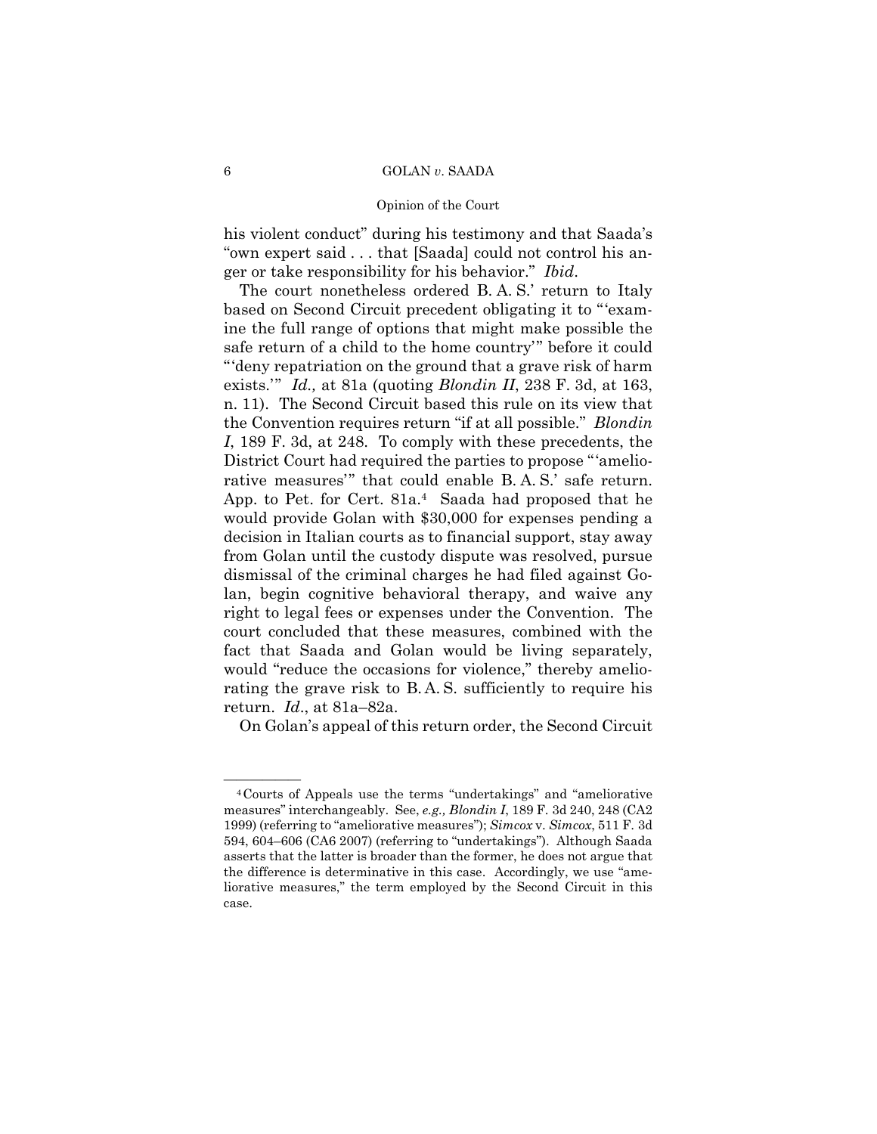#### Opinion of the Court

his violent conduct" during his testimony and that Saada's "own expert said . . . that [Saada] could not control his anger or take responsibility for his behavior." *Ibid*.

 The court nonetheless ordered B. A. S.' return to Italy rative measures'" that could enable B. A. S.' safe return. rating the grave risk to B. A. S. sufficiently to require his based on Second Circuit precedent obligating it to "'examine the full range of options that might make possible the safe return of a child to the home country'" before it could "'deny repatriation on the ground that a grave risk of harm exists.'" *Id.,* at 81a (quoting *Blondin II*, 238 F. 3d, at 163, n. 11). The Second Circuit based this rule on its view that the Convention requires return "if at all possible." *Blondin I*, 189 F. 3d, at 248. To comply with these precedents, the District Court had required the parties to propose "'amelio-App. to Pet. for Cert. 81a.4 Saada had proposed that he would provide Golan with \$30,000 for expenses pending a decision in Italian courts as to financial support, stay away from Golan until the custody dispute was resolved, pursue dismissal of the criminal charges he had filed against Golan, begin cognitive behavioral therapy, and waive any right to legal fees or expenses under the Convention. The court concluded that these measures, combined with the fact that Saada and Golan would be living separately, would "reduce the occasions for violence," thereby amelioreturn. *Id*., at 81a–82a.

On Golan's appeal of this return order, the Second Circuit

<sup>&</sup>lt;sup>4</sup>Courts of Appeals use the terms "undertakings" and "ameliorative measures" interchangeably. See, *e.g., Blondin I*, 189 F. 3d 240, 248 (CA2 1999) (referring to "ameliorative measures"); *Simcox* v. *Simcox*, 511 F. 3d 594, 604–606 (CA6 2007) (referring to "undertakings"). Although Saada asserts that the latter is broader than the former, he does not argue that the difference is determinative in this case. Accordingly, we use "ameliorative measures," the term employed by the Second Circuit in this case.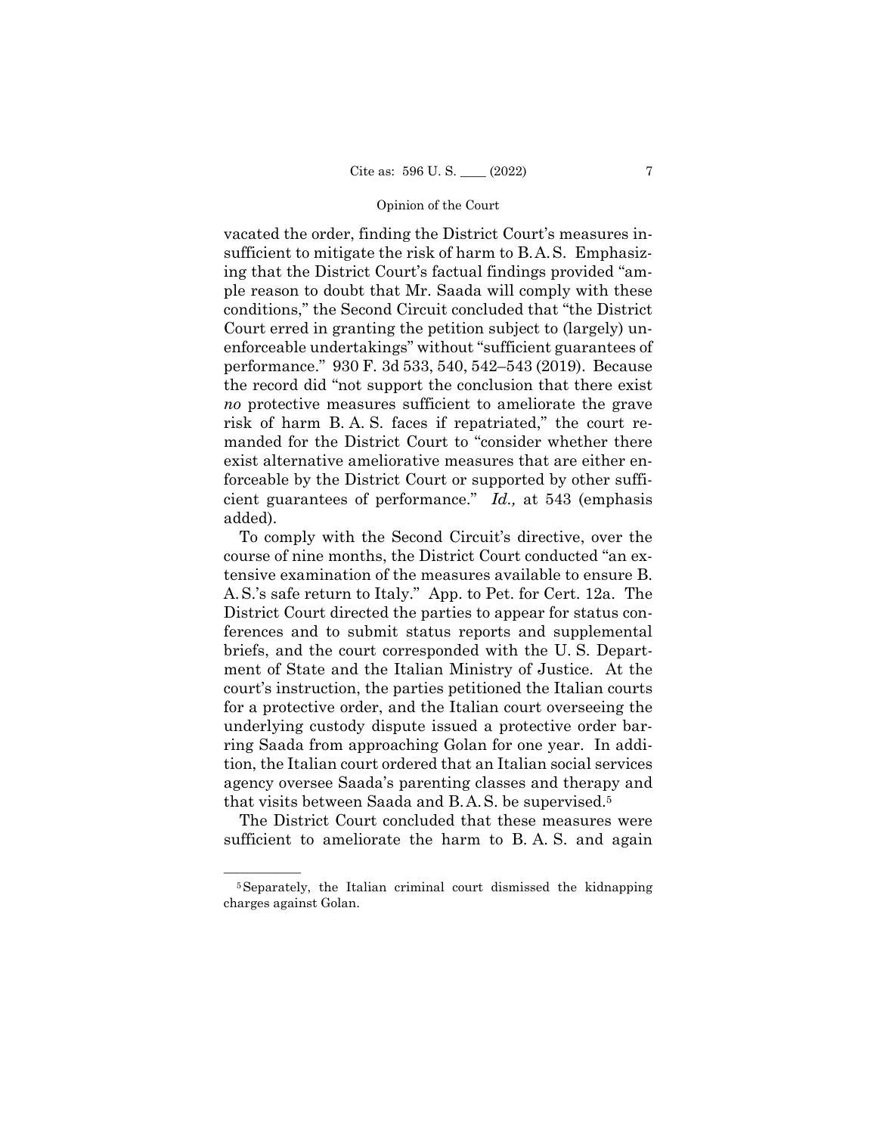sufficient to mitigate the risk of harm to B.A.S. Emphasiz- risk of harm B. A. S. faces if repatriated," the court revacated the order, finding the District Court's measures ining that the District Court's factual findings provided "ample reason to doubt that Mr. Saada will comply with these conditions," the Second Circuit concluded that "the District Court erred in granting the petition subject to (largely) unenforceable undertakings" without "sufficient guarantees of performance." 930 F. 3d 533, 540, 542–543 (2019). Because the record did "not support the conclusion that there exist *no* protective measures sufficient to ameliorate the grave manded for the District Court to "consider whether there exist alternative ameliorative measures that are either enforceable by the District Court or supported by other sufficient guarantees of performance." *Id.,* at 543 (emphasis added).

 that visits between Saada and B.A.S. be supervised.5 To comply with the Second Circuit's directive, over the course of nine months, the District Court conducted "an extensive examination of the measures available to ensure B. A. S.'s safe return to Italy." App. to Pet. for Cert. 12a. The District Court directed the parties to appear for status conferences and to submit status reports and supplemental briefs, and the court corresponded with the U. S. Department of State and the Italian Ministry of Justice. At the court's instruction, the parties petitioned the Italian courts for a protective order, and the Italian court overseeing the underlying custody dispute issued a protective order barring Saada from approaching Golan for one year. In addition, the Italian court ordered that an Italian social services agency oversee Saada's parenting classes and therapy and

sufficient to ameliorate the harm to B.A.S. and again The District Court concluded that these measures were

<sup>&</sup>lt;sup>5</sup>Separately, the Italian criminal court dismissed the kidnapping charges against Golan.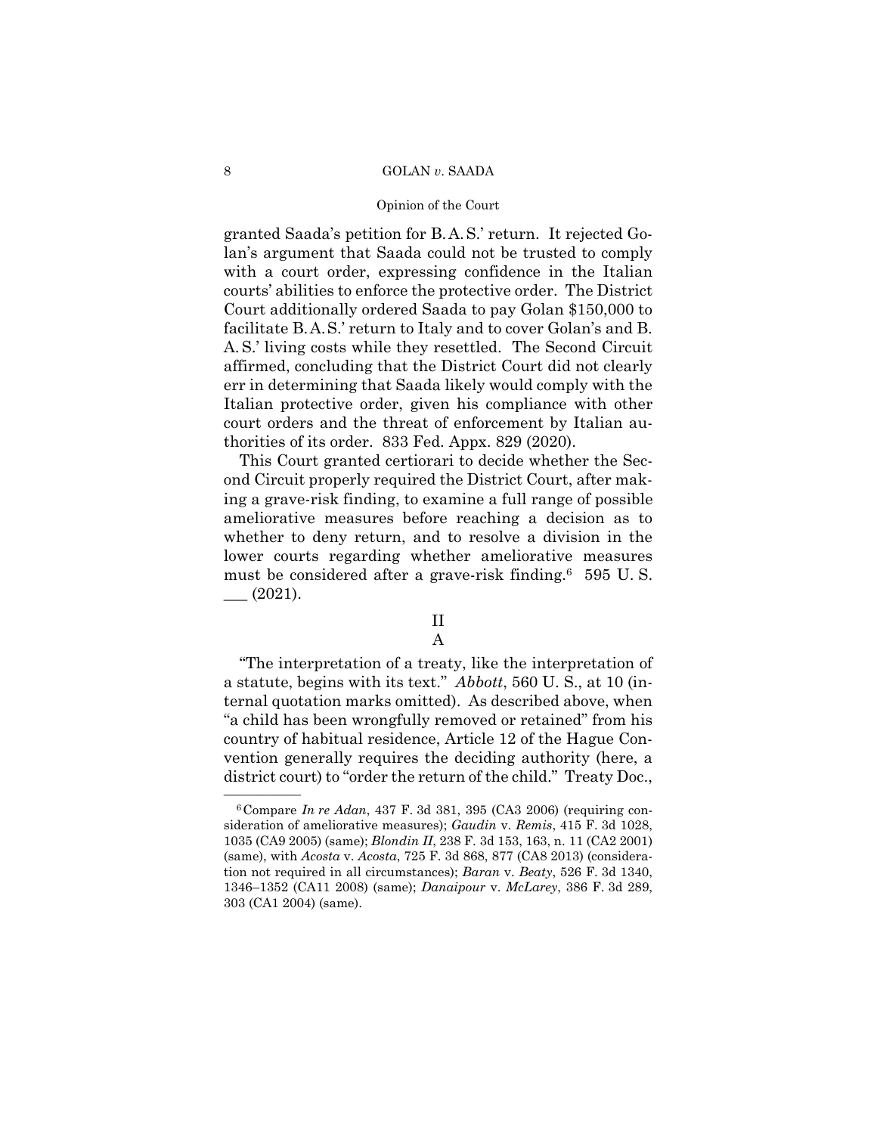#### Opinion of the Court

 granted Saada's petition for B.A.S.' return. It rejected Go- facilitate B.A.S.' return to Italy and to cover Golan's and B. lan's argument that Saada could not be trusted to comply with a court order, expressing confidence in the Italian courts' abilities to enforce the protective order. The District Court additionally ordered Saada to pay Golan \$150,000 to A. S.' living costs while they resettled. The Second Circuit affirmed, concluding that the District Court did not clearly err in determining that Saada likely would comply with the Italian protective order, given his compliance with other court orders and the threat of enforcement by Italian authorities of its order. 833 Fed. Appx. 829 (2020).

This Court granted certiorari to decide whether the Second Circuit properly required the District Court, after making a grave-risk finding, to examine a full range of possible ameliorative measures before reaching a decision as to whether to deny return, and to resolve a division in the lower courts regarding whether ameliorative measures must be considered after a grave-risk finding.6 595 U. S.  $-$  (2021).

# II

A

"The interpretation of a treaty, like the interpretation of a statute, begins with its text." *Abbott*, 560 U. S., at 10 (internal quotation marks omitted). As described above, when "a child has been wrongfully removed or retained" from his country of habitual residence, Article 12 of the Hague Convention generally requires the deciding authority (here, a district court) to "order the return of the child." Treaty Doc.,

<sup>—————— 6</sup>Compare *In re Adan*, 437 F. 3d 381, 395 (CA3 2006) (requiring consideration of ameliorative measures); *Gaudin* v. *Remis*, 415 F. 3d 1028, 1035 (CA9 2005) (same); *Blondin II*, 238 F. 3d 153, 163, n. 11 (CA2 2001) (same), with *Acosta* v. *Acosta*, 725 F. 3d 868, 877 (CA8 2013) (consideration not required in all circumstances); *Baran* v. *Beaty*, 526 F. 3d 1340, 1346–1352 (CA11 2008) (same); *Danaipour* v. *McLarey*, 386 F. 3d 289, 303 (CA1 2004) (same).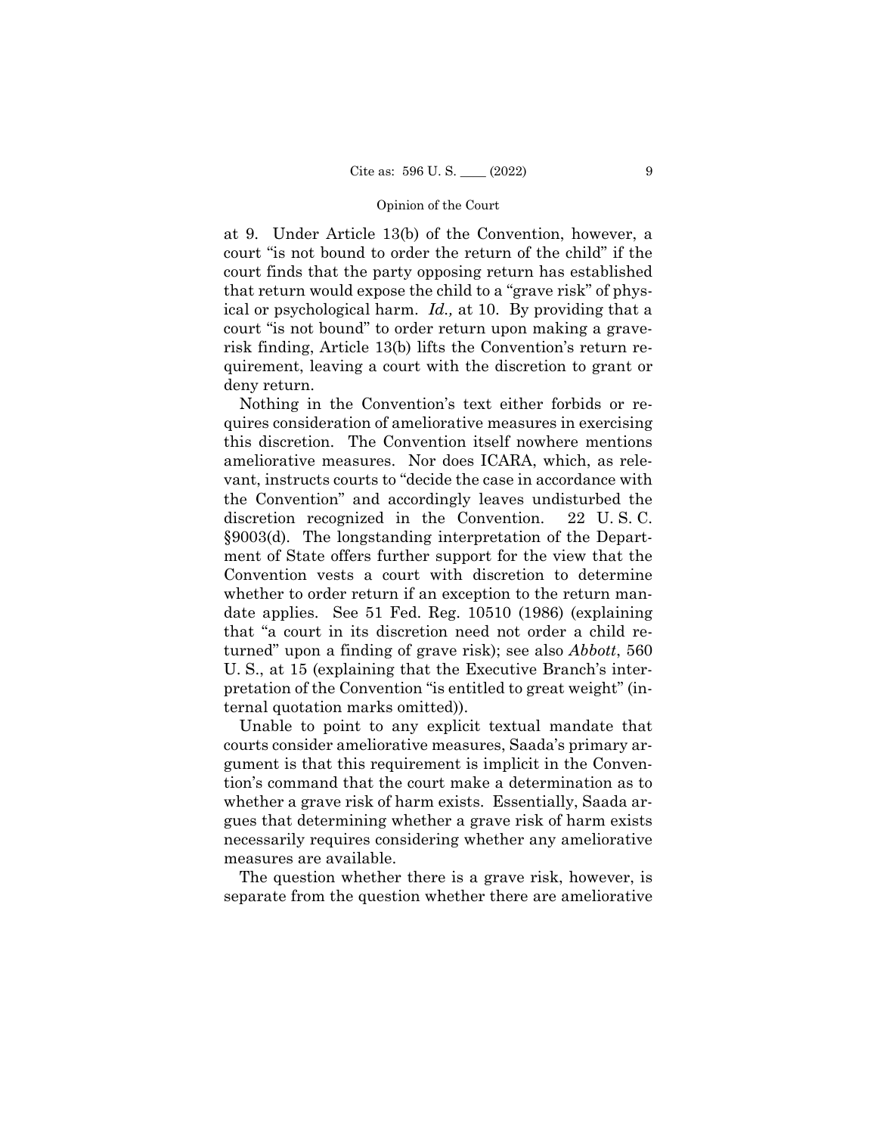ical or psychological harm. *Id.,* at 10. By providing that a at 9. Under Article 13(b) of the Convention, however, a court "is not bound to order the return of the child" if the court finds that the party opposing return has established that return would expose the child to a "grave risk" of physcourt "is not bound" to order return upon making a graverisk finding, Article 13(b) lifts the Convention's return requirement, leaving a court with the discretion to grant or deny return.

Nothing in the Convention's text either forbids or requires consideration of ameliorative measures in exercising this discretion. The Convention itself nowhere mentions ameliorative measures. Nor does ICARA, which, as relevant, instructs courts to "decide the case in accordance with the Convention" and accordingly leaves undisturbed the discretion recognized in the Convention. 22 U. S. C. §9003(d). The longstanding interpretation of the Department of State offers further support for the view that the Convention vests a court with discretion to determine whether to order return if an exception to the return mandate applies. See 51 Fed. Reg. 10510 (1986) (explaining that "a court in its discretion need not order a child returned" upon a finding of grave risk); see also *Abbott*, 560 U. S., at 15 (explaining that the Executive Branch's interpretation of the Convention "is entitled to great weight" (internal quotation marks omitted)).

Unable to point to any explicit textual mandate that courts consider ameliorative measures, Saada's primary argument is that this requirement is implicit in the Convention's command that the court make a determination as to whether a grave risk of harm exists. Essentially, Saada argues that determining whether a grave risk of harm exists necessarily requires considering whether any ameliorative measures are available.

The question whether there is a grave risk, however, is separate from the question whether there are ameliorative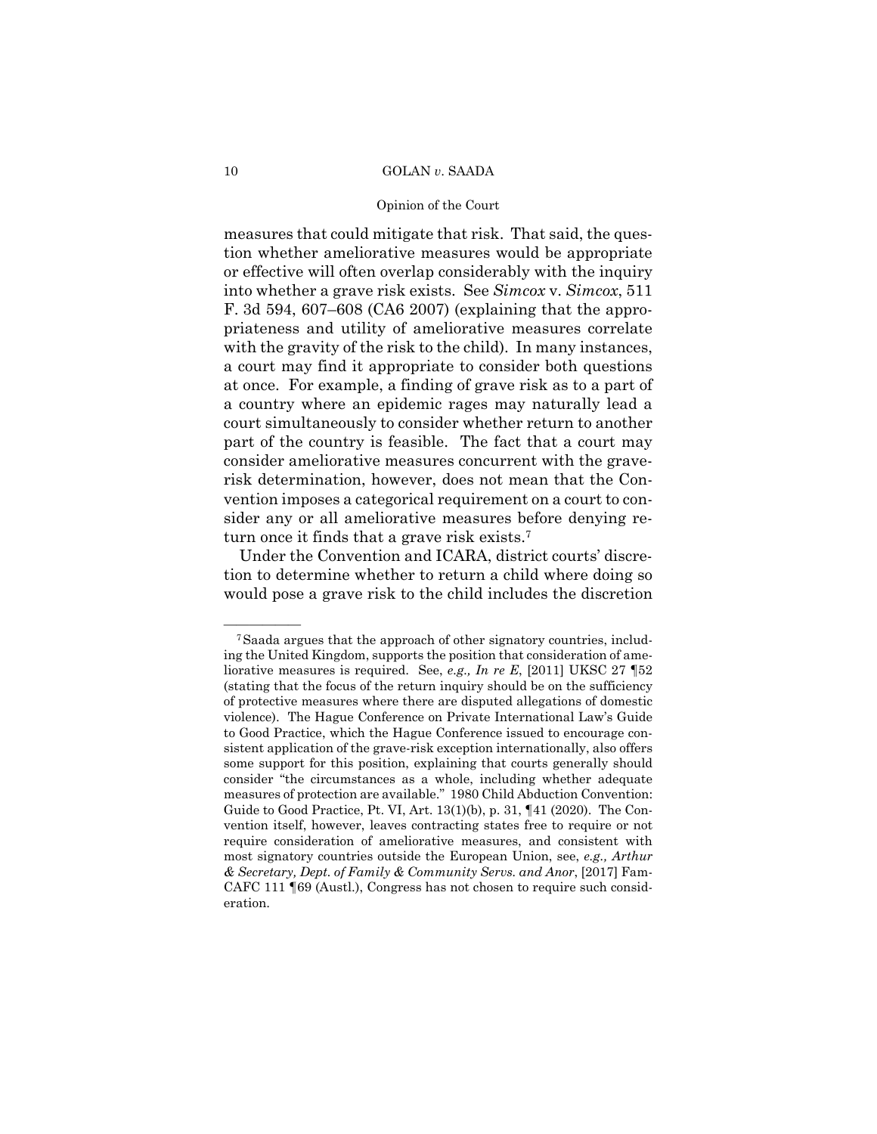#### Opinion of the Court

measures that could mitigate that risk. That said, the question whether ameliorative measures would be appropriate or effective will often overlap considerably with the inquiry into whether a grave risk exists. See *Simcox* v. *Simcox*, 511 F. 3d 594, 607–608 (CA6 2007) (explaining that the appropriateness and utility of ameliorative measures correlate with the gravity of the risk to the child). In many instances, a court may find it appropriate to consider both questions at once. For example, a finding of grave risk as to a part of a country where an epidemic rages may naturally lead a court simultaneously to consider whether return to another part of the country is feasible. The fact that a court may consider ameliorative measures concurrent with the graverisk determination, however, does not mean that the Convention imposes a categorical requirement on a court to consider any or all ameliorative measures before denying return once it finds that a grave risk exists.7

Under the Convention and ICARA, district courts' discretion to determine whether to return a child where doing so would pose a grave risk to the child includes the discretion

<sup>&</sup>lt;sup>7</sup>Saada argues that the approach of other signatory countries, including the United Kingdom, supports the position that consideration of ameliorative measures is required. See, *e.g., In re E*, [2011] UKSC 27 ¶52 (stating that the focus of the return inquiry should be on the sufficiency of protective measures where there are disputed allegations of domestic violence). The Hague Conference on Private International Law's Guide to Good Practice, which the Hague Conference issued to encourage consistent application of the grave-risk exception internationally, also offers some support for this position, explaining that courts generally should consider "the circumstances as a whole, including whether adequate measures of protection are available." 1980 Child Abduction Convention: Guide to Good Practice, Pt. VI, Art. 13(1)(b), p. 31, ¶41 (2020). The Convention itself, however, leaves contracting states free to require or not require consideration of ameliorative measures, and consistent with most signatory countries outside the European Union, see, *e.g., Arthur & Secretary, Dept. of Family & Community Servs. and Anor*, [2017] Fam-CAFC 111 ¶69 (Austl.), Congress has not chosen to require such consideration.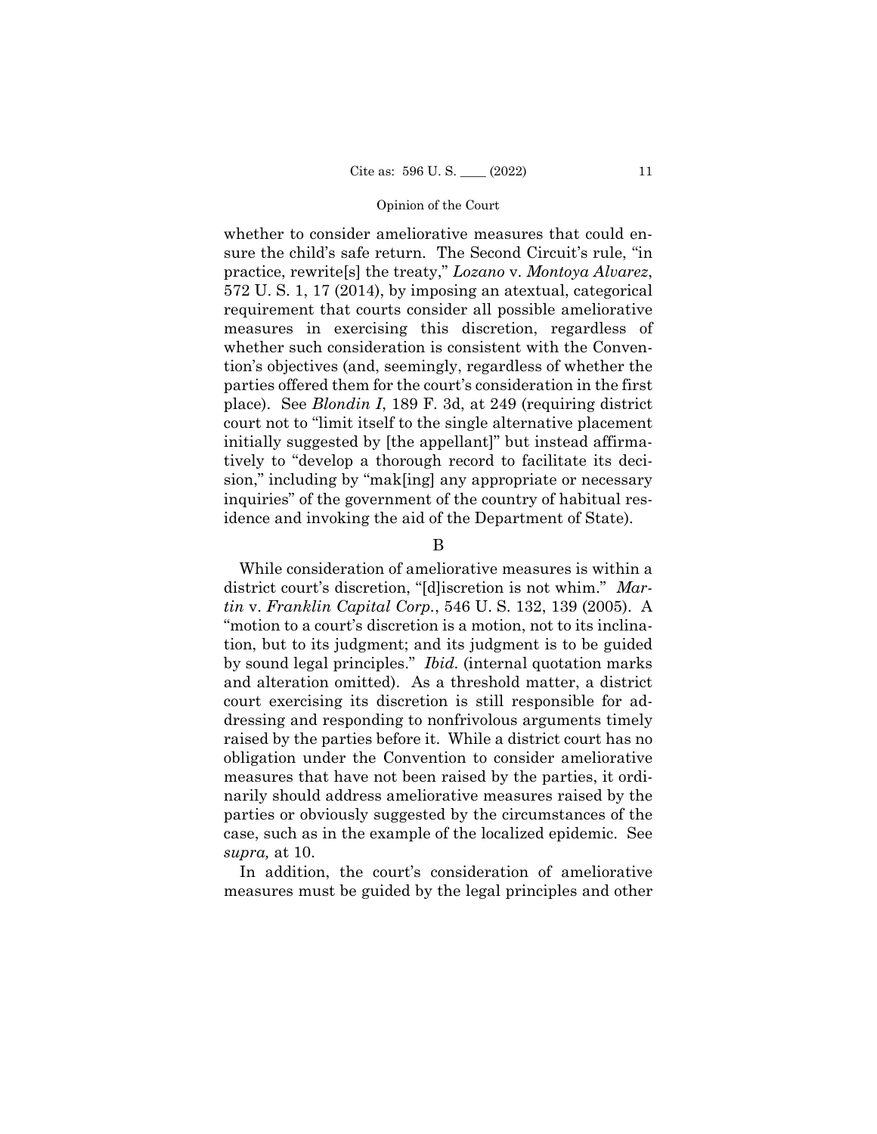whether to consider ameliorative measures that could ensure the child's safe return. The Second Circuit's rule, "in practice, rewrite[s] the treaty," *Lozano* v. *Montoya Alvarez*, 572 U. S. 1, 17 (2014), by imposing an atextual, categorical requirement that courts consider all possible ameliorative measures in exercising this discretion, regardless of whether such consideration is consistent with the Convention's objectives (and, seemingly, regardless of whether the parties offered them for the court's consideration in the first place). See *Blondin I*, 189 F. 3d, at 249 (requiring district court not to "limit itself to the single alternative placement initially suggested by [the appellant]" but instead affirmatively to "develop a thorough record to facilitate its decision," including by "mak[ing] any appropriate or necessary inquiries" of the government of the country of habitual residence and invoking the aid of the Department of State).

B

While consideration of ameliorative measures is within a district court's discretion, "[d]iscretion is not whim." *Martin* v. *Franklin Capital Corp.*, 546 U. S. 132, 139 (2005). A "motion to a court's discretion is a motion, not to its inclination, but to its judgment; and its judgment is to be guided by sound legal principles." *Ibid.* (internal quotation marks and alteration omitted). As a threshold matter, a district court exercising its discretion is still responsible for addressing and responding to nonfrivolous arguments timely raised by the parties before it. While a district court has no obligation under the Convention to consider ameliorative measures that have not been raised by the parties, it ordinarily should address ameliorative measures raised by the parties or obviously suggested by the circumstances of the case, such as in the example of the localized epidemic. See *supra,* at 10.

In addition, the court's consideration of ameliorative measures must be guided by the legal principles and other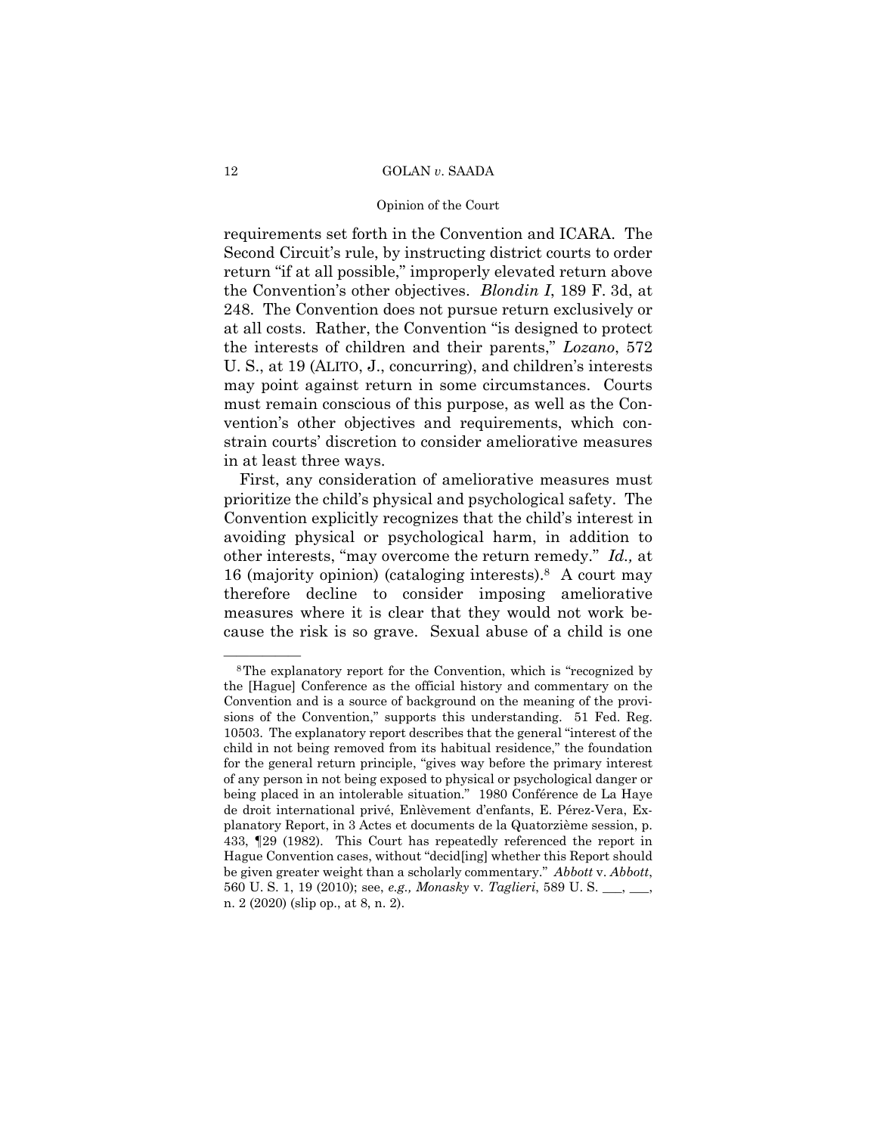#### Opinion of the Court

requirements set forth in the Convention and ICARA. The Second Circuit's rule, by instructing district courts to order return "if at all possible," improperly elevated return above the Convention's other objectives. *Blondin I*, 189 F. 3d, at 248. The Convention does not pursue return exclusively or at all costs. Rather, the Convention "is designed to protect the interests of children and their parents," *Lozano*, 572 U. S., at 19 (ALITO, J., concurring), and children's interests may point against return in some circumstances. Courts must remain conscious of this purpose, as well as the Convention's other objectives and requirements, which constrain courts' discretion to consider ameliorative measures in at least three ways.

First, any consideration of ameliorative measures must prioritize the child's physical and psychological safety. The Convention explicitly recognizes that the child's interest in avoiding physical or psychological harm, in addition to other interests, "may overcome the return remedy." *Id.,* at 16 (majority opinion) (cataloging interests).8 A court may therefore decline to consider imposing ameliorative measures where it is clear that they would not work because the risk is so grave. Sexual abuse of a child is one

 be given greater weight than a scholarly commentary." *Abbott* v. *Abbott*, <sup>8</sup>The explanatory report for the Convention, which is "recognized by the [Hague] Conference as the official history and commentary on the Convention and is a source of background on the meaning of the provisions of the Convention," supports this understanding. 51 Fed. Reg. 10503. The explanatory report describes that the general "interest of the child in not being removed from its habitual residence," the foundation for the general return principle, "gives way before the primary interest of any person in not being exposed to physical or psychological danger or being placed in an intolerable situation." 1980 Conférence de La Haye de droit international privé, Enlèvement d'enfants, E. Pérez-Vera, Explanatory Report, in 3 Actes et documents de la Quatorzième session, p. 433, ¶29 (1982). This Court has repeatedly referenced the report in Hague Convention cases, without "decid[ing] whether this Report should 560 U. S. 1, 19 (2010); see, *e.g., Monasky* v. *Taglieri*, 589 U. S. \_\_\_, \_\_\_, n. 2 (2020) (slip op., at 8, n. 2).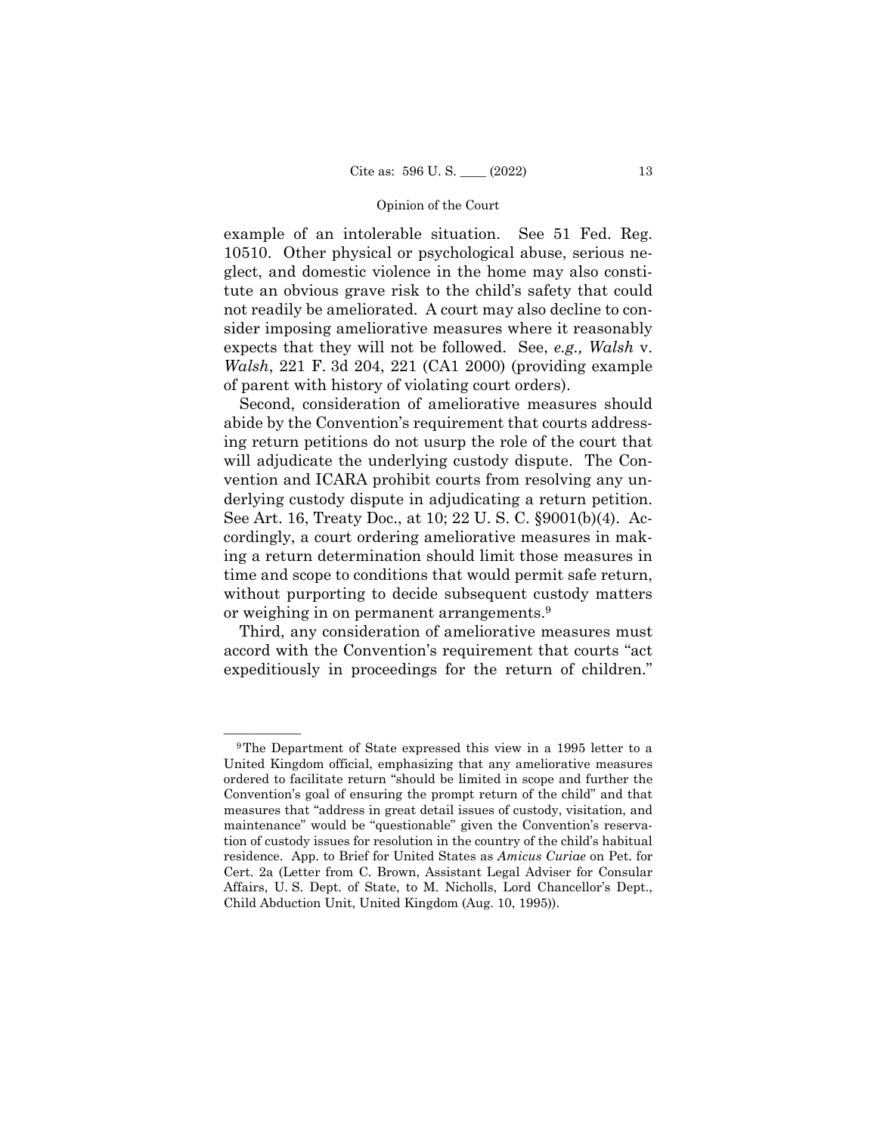example of an intolerable situation. See 51 Fed. Reg. 10510. Other physical or psychological abuse, serious neglect, and domestic violence in the home may also constitute an obvious grave risk to the child's safety that could not readily be ameliorated. A court may also decline to consider imposing ameliorative measures where it reasonably expects that they will not be followed. See, *e.g., Walsh* v. *Walsh*, 221 F. 3d 204, 221 (CA1 2000) (providing example of parent with history of violating court orders).

Second, consideration of ameliorative measures should abide by the Convention's requirement that courts addressing return petitions do not usurp the role of the court that will adjudicate the underlying custody dispute. The Convention and ICARA prohibit courts from resolving any underlying custody dispute in adjudicating a return petition. See Art. 16, Treaty Doc., at 10; 22 U. S. C. §9001(b)(4). Accordingly, a court ordering ameliorative measures in making a return determination should limit those measures in time and scope to conditions that would permit safe return, without purporting to decide subsequent custody matters or weighing in on permanent arrangements.9

Third, any consideration of ameliorative measures must accord with the Convention's requirement that courts "act expeditiously in proceedings for the return of children."

<sup>&</sup>lt;sup>9</sup>The Department of State expressed this view in a 1995 letter to a United Kingdom official, emphasizing that any ameliorative measures ordered to facilitate return "should be limited in scope and further the Convention's goal of ensuring the prompt return of the child" and that measures that "address in great detail issues of custody, visitation, and maintenance" would be "questionable" given the Convention's reservation of custody issues for resolution in the country of the child's habitual residence. App. to Brief for United States as *Amicus Curiae* on Pet. for Cert. 2a (Letter from C. Brown, Assistant Legal Adviser for Consular Affairs, U. S. Dept. of State, to M. Nicholls, Lord Chancellor's Dept., Child Abduction Unit, United Kingdom (Aug. 10, 1995)).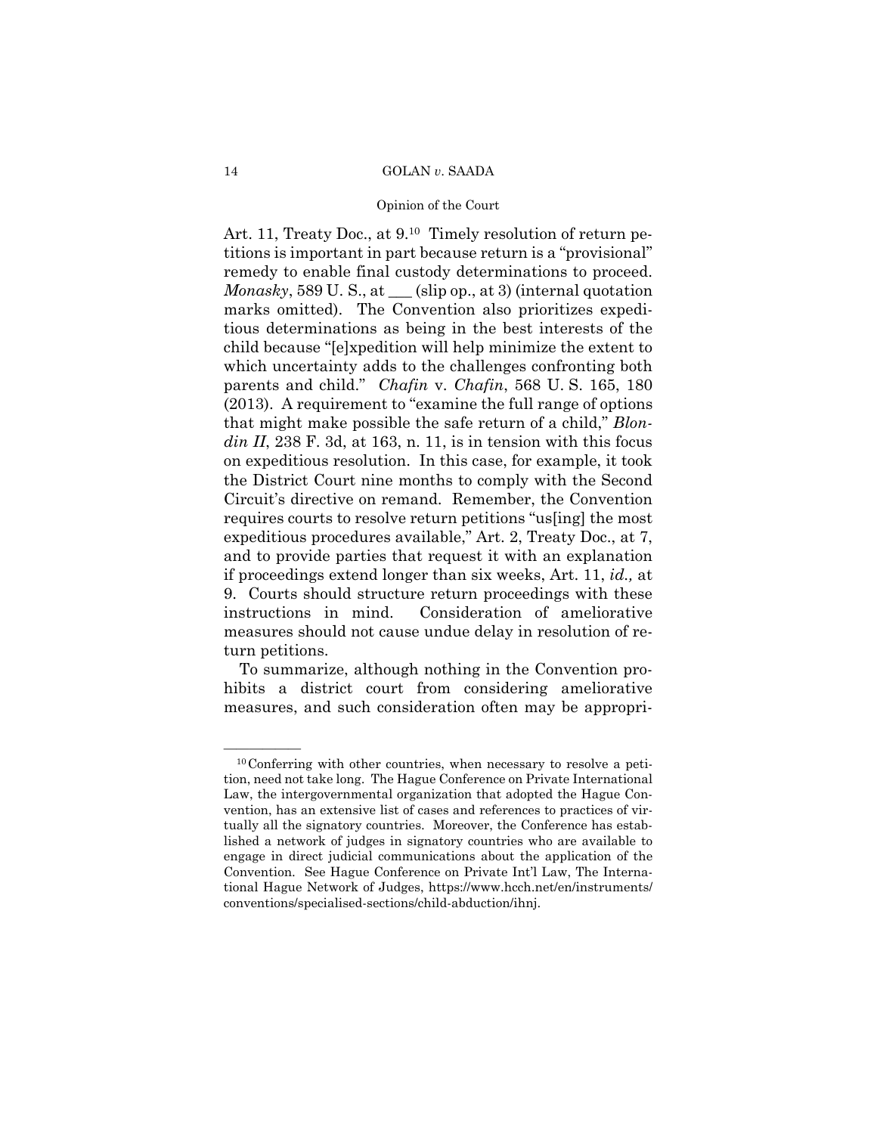#### Opinion of the Court

 remedy to enable final custody determinations to proceed. Art. 11, Treaty Doc., at  $9<sup>10</sup>$  Timely resolution of return petitions is important in part because return is a "provisional" *Monasky*, 589 U. S., at \_\_\_ (slip op., at 3) (internal quotation marks omitted). The Convention also prioritizes expeditious determinations as being in the best interests of the child because "[e]xpedition will help minimize the extent to which uncertainty adds to the challenges confronting both parents and child." *Chafin* v. *Chafin*, 568 U. S. 165, 180 (2013). A requirement to "examine the full range of options that might make possible the safe return of a child," *Blondin II*, 238 F. 3d, at 163, n. 11, is in tension with this focus on expeditious resolution. In this case, for example, it took the District Court nine months to comply with the Second Circuit's directive on remand. Remember, the Convention requires courts to resolve return petitions "us[ing] the most expeditious procedures available," Art. 2, Treaty Doc., at 7, and to provide parties that request it with an explanation if proceedings extend longer than six weeks, Art. 11, *id.,* at 9. Courts should structure return proceedings with these instructions in mind. Consideration of ameliorative measures should not cause undue delay in resolution of return petitions.

To summarize, although nothing in the Convention prohibits a district court from considering ameliorative measures, and such consideration often may be appropri-

 tually all the signatory countries. Moreover, the Conference has estab- $^{10}$ Conferring with other countries, when necessary to resolve a petition, need not take long. The Hague Conference on Private International Law, the intergovernmental organization that adopted the Hague Convention, has an extensive list of cases and references to practices of virlished a network of judges in signatory countries who are available to engage in direct judicial communications about the application of the Convention. See Hague Conference on Private Int'l Law, The International Hague Network of Judges, https://www.hcch.net/en/instruments/ conventions/specialised-sections/child-abduction/ihnj.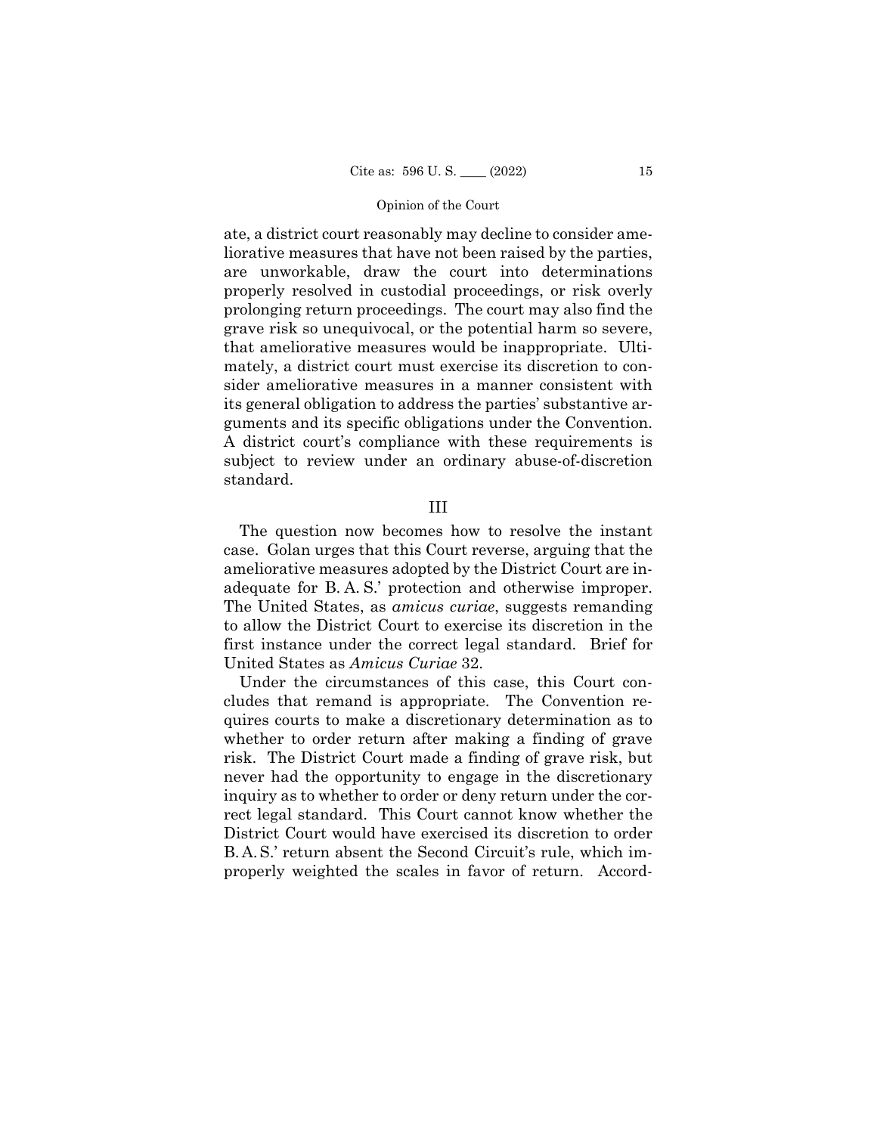ate, a district court reasonably may decline to consider ameliorative measures that have not been raised by the parties, are unworkable, draw the court into determinations properly resolved in custodial proceedings, or risk overly prolonging return proceedings. The court may also find the grave risk so unequivocal, or the potential harm so severe, that ameliorative measures would be inappropriate. Ultimately, a district court must exercise its discretion to consider ameliorative measures in a manner consistent with its general obligation to address the parties' substantive arguments and its specific obligations under the Convention. A district court's compliance with these requirements is subject to review under an ordinary abuse-of-discretion standard.

#### III

 adequate for B. A. S.' protection and otherwise improper. The question now becomes how to resolve the instant case. Golan urges that this Court reverse, arguing that the ameliorative measures adopted by the District Court are in-The United States, as *amicus curiae*, suggests remanding to allow the District Court to exercise its discretion in the first instance under the correct legal standard. Brief for United States as *Amicus Curiae* 32.

 B. A. S.' return absent the Second Circuit's rule, which im-Under the circumstances of this case, this Court concludes that remand is appropriate. The Convention requires courts to make a discretionary determination as to whether to order return after making a finding of grave risk. The District Court made a finding of grave risk, but never had the opportunity to engage in the discretionary inquiry as to whether to order or deny return under the correct legal standard. This Court cannot know whether the District Court would have exercised its discretion to order properly weighted the scales in favor of return. Accord-